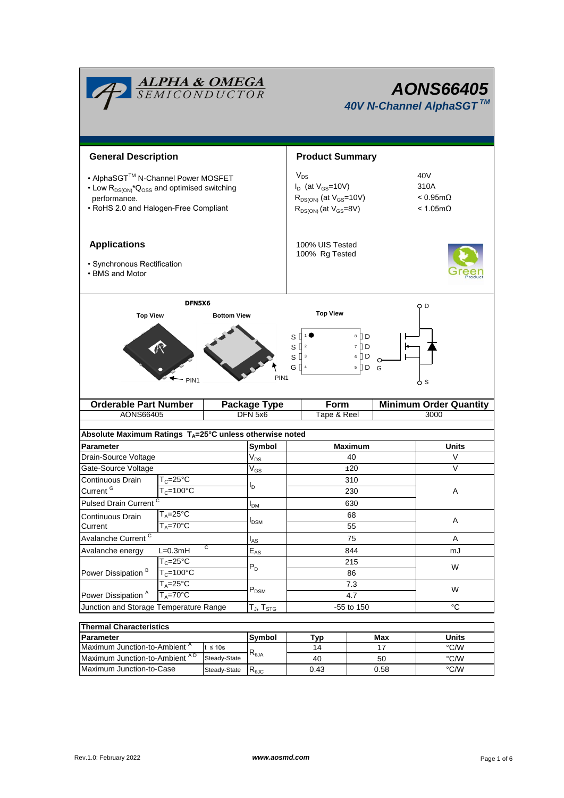|                                                                                                                                                                    | <b>ALPHA &amp; OMEGA</b><br>SEMICONDUCTOR                           |                    |                                   | <b>AONS66405</b><br>40V N-Channel AlphaSGT™                                                               |                                                               |                               |  |  |  |
|--------------------------------------------------------------------------------------------------------------------------------------------------------------------|---------------------------------------------------------------------|--------------------|-----------------------------------|-----------------------------------------------------------------------------------------------------------|---------------------------------------------------------------|-------------------------------|--|--|--|
| <b>General Description</b>                                                                                                                                         |                                                                     |                    |                                   | <b>Product Summary</b>                                                                                    |                                                               |                               |  |  |  |
| • AlphaSGT™ N-Channel Power MOSFET<br>• Low R <sub>DS(ON)</sub> *Q <sub>OSS</sub> and optimised switching<br>performance.<br>• RoHS 2.0 and Halogen-Free Compliant |                                                                     |                    |                                   | $V_{DS}$<br>$I_D$ (at $V_{GS}$ =10V)<br>$R_{DS(ON)}$ (at $V_{GS}$ =10V)<br>$R_{DS(ON)}$ (at $V_{GS}=8V$ ) | 40V<br>310A<br>$< 0.95$ m $\Omega$<br>$< 1.05 \text{m}\Omega$ |                               |  |  |  |
| <b>Applications</b><br>· Synchronous Rectification<br>• BMS and Motor                                                                                              |                                                                     |                    | 100% UIS Tested<br>100% Rg Tested |                                                                                                           |                                                               |                               |  |  |  |
| <b>Top View</b>                                                                                                                                                    | DFN5X6<br>PIN <sub>1</sub>                                          | <b>Bottom View</b> | PIN <sub>1</sub>                  | <b>Top View</b><br>S<br>s [<br>s [<br>GП                                                                  | O D<br>ბ s                                                    |                               |  |  |  |
| <b>Orderable Part Number</b>                                                                                                                                       |                                                                     |                    | Package Type                      | Form                                                                                                      |                                                               | <b>Minimum Order Quantity</b> |  |  |  |
| AONS66405                                                                                                                                                          |                                                                     |                    | DFN 5x6                           | Tape & Reel                                                                                               |                                                               | 3000                          |  |  |  |
| Absolute Maximum Ratings $T_A = 25^\circ \text{C}$ unless otherwise noted                                                                                          |                                                                     |                    |                                   |                                                                                                           |                                                               |                               |  |  |  |
| <b>Parameter</b>                                                                                                                                                   |                                                                     |                    | Symbol                            | <b>Maximum</b>                                                                                            |                                                               | <b>Units</b>                  |  |  |  |
| Drain-Source Voltage                                                                                                                                               |                                                                     |                    | $\rm V_{DS}$                      | 40                                                                                                        |                                                               | V                             |  |  |  |
| Gate-Source Voltage                                                                                                                                                |                                                                     |                    | $\rm V_{GS}$                      | ±20                                                                                                       | V                                                             |                               |  |  |  |
| Continuous Drain<br>$T_c = 25$ °C                                                                                                                                  |                                                                     | ı,                 | 310                               |                                                                                                           |                                                               |                               |  |  |  |
| Current <sup>G</sup><br>$T_c = 100^{\circ}C$                                                                                                                       |                                                                     |                    |                                   | 230                                                                                                       |                                                               |                               |  |  |  |
| Pulsed Drain Current <sup>C</sup>                                                                                                                                  |                                                                     |                    | $I_{DM}$                          | 630                                                                                                       |                                                               |                               |  |  |  |
| Continuous Drain                                                                                                                                                   | $T_A = 25$ °C                                                       |                    |                                   | 68<br><b>I</b> <sub>DSM</sub>                                                                             |                                                               | Α                             |  |  |  |
| $T_A = 70^\circ C$<br>Current                                                                                                                                      |                                                                     |                    |                                   |                                                                                                           | 55<br>75                                                      |                               |  |  |  |
| Avalanche Current <sup>C</sup><br>$\overline{c}$                                                                                                                   |                                                                     |                    | $I_{AS}$                          |                                                                                                           | Α                                                             |                               |  |  |  |
| Avalanche energy                                                                                                                                                   | $L=0.3mH$<br>$T_c = 25$ °C<br>$T_c = 100$ °C<br>$T_A = 25^{\circ}C$ |                    | $\mathsf{E}_{\mathsf{AS}}$        | 844<br>215<br>86                                                                                          |                                                               | mJ                            |  |  |  |
| Power Dissipation <sup>B</sup>                                                                                                                                     |                                                                     |                    | $P_D$                             |                                                                                                           |                                                               | W                             |  |  |  |
|                                                                                                                                                                    |                                                                     |                    |                                   | 7.3                                                                                                       |                                                               |                               |  |  |  |
| $T_A = 70^\circ C$<br>Power Dissipation <sup>A</sup>                                                                                                               |                                                                     |                    | $P_{DSM}$                         | 4.7                                                                                                       |                                                               | W                             |  |  |  |
| Junction and Storage Temperature Range                                                                                                                             |                                                                     |                    | $T_J$ , $T_{STG}$                 | $^{\circ}C$<br>-55 to 150                                                                                 |                                                               |                               |  |  |  |
|                                                                                                                                                                    |                                                                     |                    |                                   |                                                                                                           |                                                               |                               |  |  |  |
| <b>Thermal Characteristics</b>                                                                                                                                     |                                                                     |                    | Symbol                            |                                                                                                           | Max                                                           | <b>Units</b>                  |  |  |  |
| Parameter<br>Maximum Junction-to-Ambient <sup>A</sup><br>$t \leq 10s$                                                                                              |                                                                     |                    |                                   | Typ<br>14                                                                                                 | 17                                                            | °C/W                          |  |  |  |
| … A D                                                                                                                                                              |                                                                     |                    | $R_{\theta JA}$                   |                                                                                                           |                                                               |                               |  |  |  |

Maximum Junction-to-Case Steady-State R<sub>6JC</sub> 0.43 0.58 <sup>°C/W</sup> Maximum Junction-to-Ambient °C/W A D

0.43

40

50 0.58

Steady-State Steady-State  $R_{\theta$ JC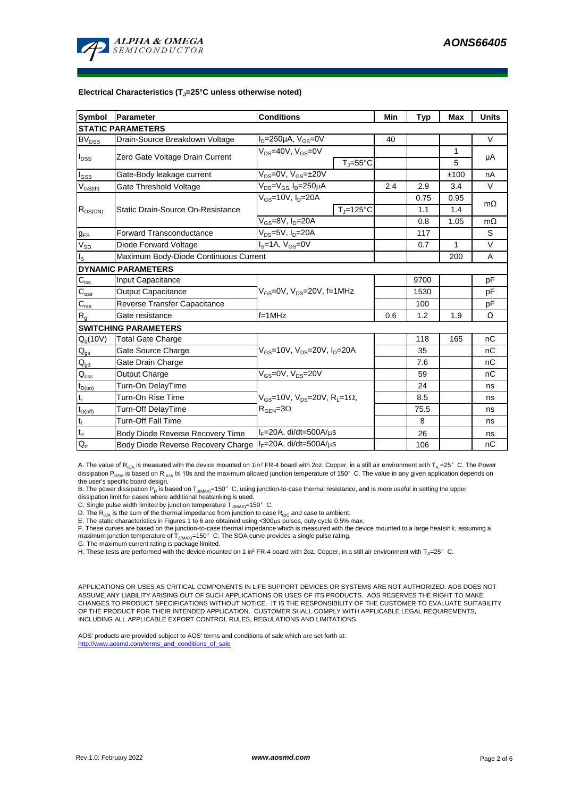

#### **Electrical Characteristics (TJ=25°C unless otherwise noted)**

| <b>Symbol</b>               | Parameter                             | <b>Conditions</b>                                                                                      |                                | Min | <b>Typ</b> | Max          | <b>Units</b> |  |  |  |  |  |
|-----------------------------|---------------------------------------|--------------------------------------------------------------------------------------------------------|--------------------------------|-----|------------|--------------|--------------|--|--|--|--|--|
| <b>STATIC PARAMETERS</b>    |                                       |                                                                                                        |                                |     |            |              |              |  |  |  |  |  |
| $BV_{DSS}$                  | Drain-Source Breakdown Voltage        | $I_D = 250 \mu A$ , $V_{GS} = 0V$                                                                      |                                | 40  |            |              | $\vee$       |  |  |  |  |  |
| $I_{DSS}$                   | Zero Gate Voltage Drain Current       | $V_{DS}$ =40V, $V_{GS}$ =0V                                                                            |                                |     |            | 1            | μA           |  |  |  |  |  |
|                             |                                       | $T_{\parallel} = 55^{\circ}$ C                                                                         |                                |     |            | 5            |              |  |  |  |  |  |
| $I_{GSS}$                   | Gate-Body leakage current             | $V_{DS} = 0V$ , $V_{GS} = \pm 20V$                                                                     |                                |     |            | ±100         | nA           |  |  |  |  |  |
| $V_{GS(th)}$                | Gate Threshold Voltage                | $V_{DS} = V_{GS}$ , $I_D = 250 \mu A$                                                                  |                                | 2.4 | 2.9        | 3.4          | $\vee$       |  |  |  |  |  |
| $R_{DS(ON)}$                |                                       | $V_{GS}$ =10V, $I_{D}$ =20A                                                                            |                                |     | 0.75       | 0.95         | $m\Omega$    |  |  |  |  |  |
|                             | Static Drain-Source On-Resistance     |                                                                                                        | $T_{\parallel} = 125^{\circ}C$ |     | 1.1        | 1.4          |              |  |  |  |  |  |
|                             |                                       | $V_{GS}$ =8V, $I_{D}$ =20A                                                                             |                                | 0.8 | 1.05       | $m\Omega$    |              |  |  |  |  |  |
| $g_{FS}$                    | <b>Forward Transconductance</b>       | V <sub>ns</sub> =5V, I <sub>n</sub> =20A                                                               |                                |     | 117        |              | S            |  |  |  |  |  |
| $V_{SD}$                    | Diode Forward Voltage                 | $IS=1A, VGS=0V$                                                                                        |                                |     | 0.7        | $\mathbf{1}$ | $\vee$       |  |  |  |  |  |
| $I_{\rm S}$                 | Maximum Body-Diode Continuous Current |                                                                                                        |                                | 200 | A          |              |              |  |  |  |  |  |
| <b>DYNAMIC PARAMETERS</b>   |                                       |                                                                                                        |                                |     |            |              |              |  |  |  |  |  |
| $C_{\text{iss}}$            | Input Capacitance                     |                                                                                                        |                                |     | 9700       |              | pF           |  |  |  |  |  |
| $C_{\rm oss}$               | <b>Output Capacitance</b>             | $V_{GS}$ =0V, $V_{DS}$ =20V, f=1MHz                                                                    |                                |     | 1530       |              | pF           |  |  |  |  |  |
| $\overline{C_{\rm rss}}$    | Reverse Transfer Capacitance          |                                                                                                        |                                | 100 |            | pF           |              |  |  |  |  |  |
| $R_{q}$                     | Gate resistance                       | $f=1$ MHz                                                                                              |                                | 0.6 | 1.2        | 1.9          | Ω            |  |  |  |  |  |
| <b>SWITCHING PARAMETERS</b> |                                       |                                                                                                        |                                |     |            |              |              |  |  |  |  |  |
| $Q_g(10V)$                  | <b>Total Gate Charge</b>              | $V_{GS}$ =10V, $V_{DS}$ =20V, $I_{D}$ =20A                                                             |                                |     | 118        | 165          | nC           |  |  |  |  |  |
| $Q_{gs}$                    | Gate Source Charge                    |                                                                                                        |                                |     | 35         |              | nC           |  |  |  |  |  |
| $Q_{gd}$                    | Gate Drain Charge                     |                                                                                                        |                                |     | 7.6        |              | пC           |  |  |  |  |  |
| $Q_{\rm oss}$               | <b>Output Charge</b>                  | V <sub>GS</sub> =0V, V <sub>DS</sub> =20V                                                              |                                |     | 59         |              | nC           |  |  |  |  |  |
| $t_{D(on)}$                 | Turn-On DelayTime                     |                                                                                                        |                                |     | 24         |              | ns           |  |  |  |  |  |
| t,                          | Turn-On Rise Time                     | $V_{\text{GS}}$ =10V, $V_{\text{DS}}$ =20V, $R_{\text{I}}$ =1 $\Omega$ ,<br>$R_{\text{GEN}} = 3\Omega$ |                                |     | 8.5        |              | ns           |  |  |  |  |  |
| $t_{D(off)}$                | Turn-Off DelayTime                    |                                                                                                        |                                |     | 75.5       |              | ns           |  |  |  |  |  |
| $\mathsf{t}_{\mathsf{f}}$   | <b>Turn-Off Fall Time</b>             |                                                                                                        |                                |     | 8          |              | ns           |  |  |  |  |  |
| $t_{rr}$                    | Body Diode Reverse Recovery Time      | $I_F = 20A$ , di/dt=500A/ $\mu$ s                                                                      |                                |     | 26         |              | ns           |  |  |  |  |  |
| $Q_{rr}$                    | Body Diode Reverse Recovery Charge    | $IF=20A$ , di/dt=500A/ $\mu$ s                                                                         |                                |     | 106        |              | nC           |  |  |  |  |  |

A. The value of R<sub>0JA</sub> is measured with the device mounted on 1in<sup>2</sup> FR-4 board with 2oz. Copper, in a still air environment with  $T_A = 25^\circ$  C. The Power dissipation P<sub>DSM</sub> is based on R  $_{\text{q1A}}$  t≤ 10s and the maximum allowed junction temperature of 150°C. The value in any given application depends on the user's specific board design.

B. The power dissipation P<sub>D</sub> is based on T<sub>J(MAX)</sub>=150°C, using junction-to-case thermal resistance, and is more useful in setting the upper<br>dissipation limit for cases where additional heatsinking is used.

C. Single pulse width limited by junction temperature  $\overline{T}_{J(MAX)}$ =150°C.

D. The  $R_{q_{JA}}$  is the sum of the thermal impedance from junction to case  $R_{q_{JC}}$  and case to ambient.

E. The static characteristics in Figures 1 to 6 are obtained using <300µs pulses, duty cycle 0.5% max.<br>F. These curves are based on the junction-to-case thermal impedance which is measured with the device mounted to a larg

G. The maximum current rating is package limited.

H. These tests are performed with the device mounted on 1 in<sup>2</sup> FR-4 board with 2oz. Copper, in a still air environment with T<sub>A</sub>=25°C.

APPLICATIONS OR USES AS CRITICAL COMPONENTS IN LIFE SUPPORT DEVICES OR SYSTEMS ARE NOT AUTHORIZED. AOS DOES NOT ASSUME ANY LIABILITY ARISING OUT OF SUCH APPLICATIONS OR USES OF ITS PRODUCTS. AOS RESERVES THE RIGHT TO MAKE CHANGES TO PRODUCT SPECIFICATIONS WITHOUT NOTICE. IT IS THE RESPONSIBILITY OF THE CUSTOMER TO EVALUATE SUITABILITY OF THE PRODUCT FOR THEIR INTENDED APPLICATION. CUSTOMER SHALL COMPLY WITH APPLICABLE LEGAL REQUIREMENTS, INCLUDING ALL APPLICABLE EXPORT CONTROL RULES, REGULATIONS AND LIMITATIONS.

AOS' products are provided subject to AOS' terms and conditions of sale which are set forth at: http://www.aosmd.com/terms\_and\_conditions\_of\_sale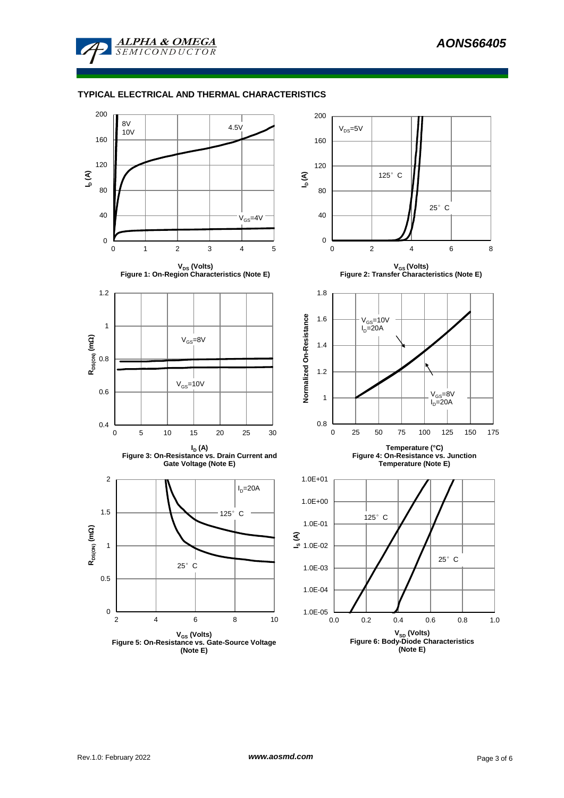

# **TYPICAL ELECTRICAL AND THERMAL CHARACTERISTICS**

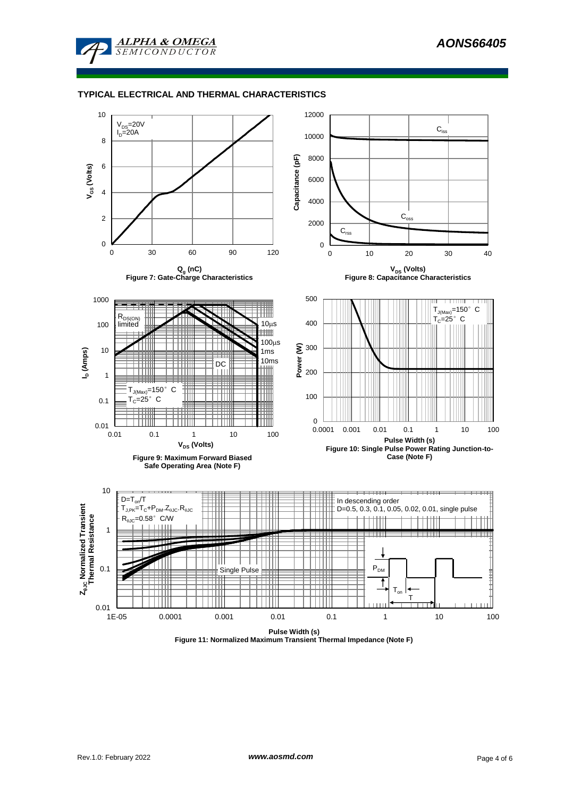

#### **TYPICAL ELECTRICAL AND THERMAL CHARACTERISTICS**



**Figure 11: Normalized Maximum Transient Thermal Impedance (Note F)**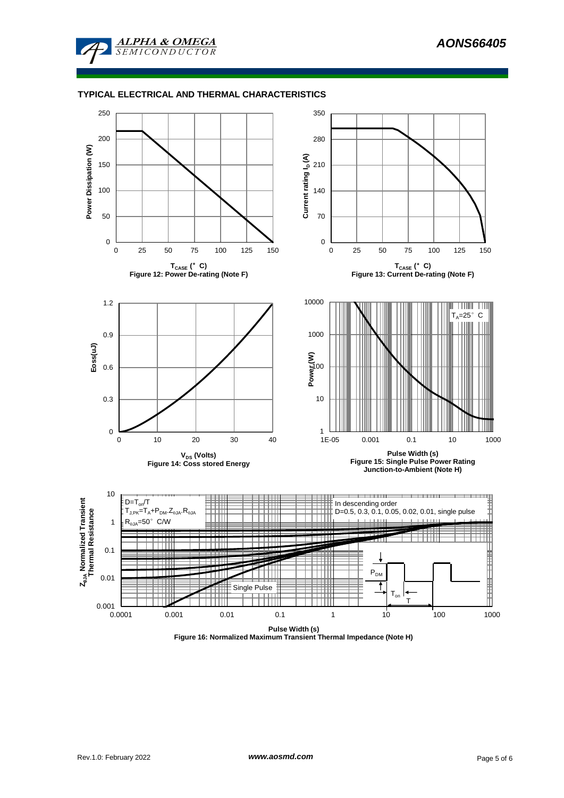

## **TYPICAL ELECTRICAL AND THERMAL CHARACTERISTICS**



**Figure 16: Normalized Maximum Transient Thermal Impedance (Note H)**